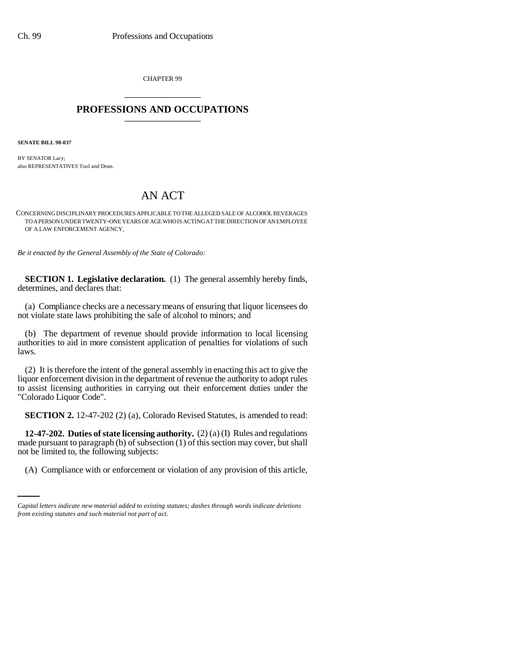CHAPTER 99 \_\_\_\_\_\_\_\_\_\_\_\_\_\_\_

## **PROFESSIONS AND OCCUPATIONS** \_\_\_\_\_\_\_\_\_\_\_\_\_\_\_

**SENATE BILL 98-037**

BY SENATOR Lacy; also REPRESENTATIVES Tool and Dean.

## AN ACT

CONCERNING DISCIPLINARY PROCEDURES APPLICABLE TO THE ALLEGED SALE OF ALCOHOL BEVERAGES TO A PERSON UNDER TWENTY-ONE YEARS OF AGE WHO IS ACTING AT THE DIRECTION OF AN EMPLOYEE OF A LAW ENFORCEMENT AGENCY.

*Be it enacted by the General Assembly of the State of Colorado:*

**SECTION 1. Legislative declaration.** (1) The general assembly hereby finds, determines, and declares that:

(a) Compliance checks are a necessary means of ensuring that liquor licensees do not violate state laws prohibiting the sale of alcohol to minors; and

(b) The department of revenue should provide information to local licensing authorities to aid in more consistent application of penalties for violations of such laws.

(2) It is therefore the intent of the general assembly in enacting this act to give the liquor enforcement division in the department of revenue the authority to adopt rules to assist licensing authorities in carrying out their enforcement duties under the "Colorado Liquor Code".

**SECTION 2.** 12-47-202 (2) (a), Colorado Revised Statutes, is amended to read:

not be limited to, the following subjects: **12-47-202. Duties of state licensing authority.** (2) (a) (I) Rules and regulations made pursuant to paragraph (b) of subsection (1) of this section may cover, but shall

(A) Compliance with or enforcement or violation of any provision of this article,

*Capital letters indicate new material added to existing statutes; dashes through words indicate deletions from existing statutes and such material not part of act.*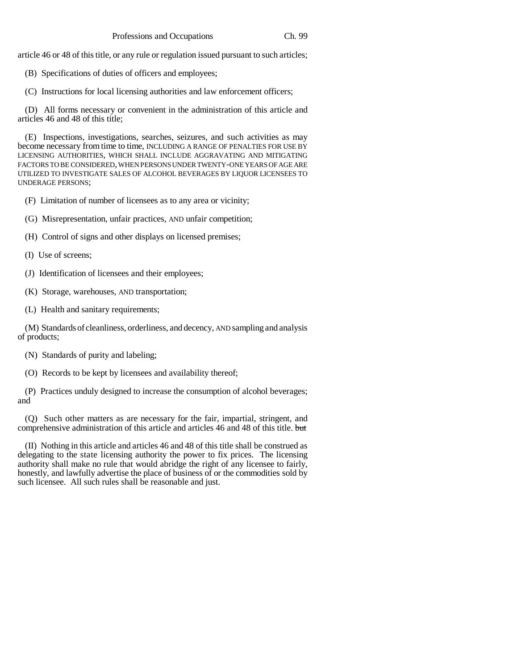article 46 or 48 of this title, or any rule or regulation issued pursuant to such articles;

(B) Specifications of duties of officers and employees;

(C) Instructions for local licensing authorities and law enforcement officers;

(D) All forms necessary or convenient in the administration of this article and articles 46 and 48 of this title;

(E) Inspections, investigations, searches, seizures, and such activities as may become necessary from time to time, INCLUDING A RANGE OF PENALTIES FOR USE BY LICENSING AUTHORITIES, WHICH SHALL INCLUDE AGGRAVATING AND MITIGATING FACTORS TO BE CONSIDERED, WHEN PERSONS UNDER TWENTY-ONE YEARS OF AGE ARE UTILIZED TO INVESTIGATE SALES OF ALCOHOL BEVERAGES BY LIQUOR LICENSEES TO UNDERAGE PERSONS;

(F) Limitation of number of licensees as to any area or vicinity;

- (G) Misrepresentation, unfair practices, AND unfair competition;
- (H) Control of signs and other displays on licensed premises;
- (I) Use of screens;
- (J) Identification of licensees and their employees;
- (K) Storage, warehouses, AND transportation;
- (L) Health and sanitary requirements;

(M) Standards of cleanliness, orderliness, and decency, AND sampling and analysis of products;

(N) Standards of purity and labeling;

(O) Records to be kept by licensees and availability thereof;

(P) Practices unduly designed to increase the consumption of alcohol beverages; and

(Q) Such other matters as are necessary for the fair, impartial, stringent, and comprehensive administration of this article and articles 46 and 48 of this title. but

(II) Nothing in this article and articles 46 and 48 of this title shall be construed as delegating to the state licensing authority the power to fix prices. The licensing authority shall make no rule that would abridge the right of any licensee to fairly, honestly, and lawfully advertise the place of business of or the commodities sold by such licensee. All such rules shall be reasonable and just.